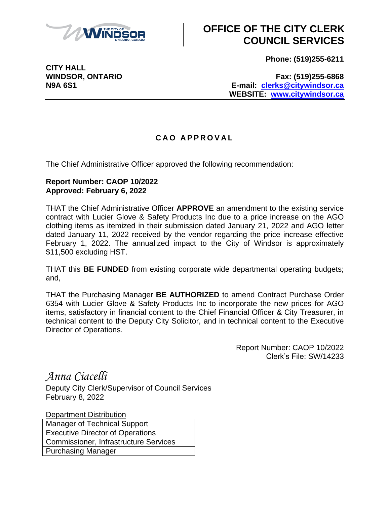

## **OFFICE OF THE CITY CLERK COUNCIL SERVICES**

**Phone: (519)255-6211**

**CITY HALL**

**WINDSOR, ONTARIO Fax: (519)255-6868 N9A 6S1 E-mail: [clerks@citywindsor.ca](mailto:clerks@citywindsor.ca) WEBSITE: [www.citywindsor.ca](http://www.citywindsor.ca/)**

## **C A O A P P R O V A L**

The Chief Administrative Officer approved the following recommendation:

## **Report Number: CAOP 10/2022 Approved: February 6, 2022**

THAT the Chief Administrative Officer **APPROVE** an amendment to the existing service contract with Lucier Glove & Safety Products Inc due to a price increase on the AGO clothing items as itemized in their submission dated January 21, 2022 and AGO letter dated January 11, 2022 received by the vendor regarding the price increase effective February 1, 2022. The annualized impact to the City of Windsor is approximately \$11,500 excluding HST.

THAT this **BE FUNDED** from existing corporate wide departmental operating budgets; and,

THAT the Purchasing Manager **BE AUTHORIZED** to amend Contract Purchase Order 6354 with Lucier Glove & Safety Products Inc to incorporate the new prices for AGO items, satisfactory in financial content to the Chief Financial Officer & City Treasurer, in technical content to the Deputy City Solicitor, and in technical content to the Executive Director of Operations.

> Report Number: CAOP 10/2022 Clerk's File: SW/14233

*Anna Ciacelli*

Deputy City Clerk/Supervisor of Council Services February 8, 2022

Department Distribution

Manager of Technical Support Executive Director of Operations Commissioner, Infrastructure Services Purchasing Manager